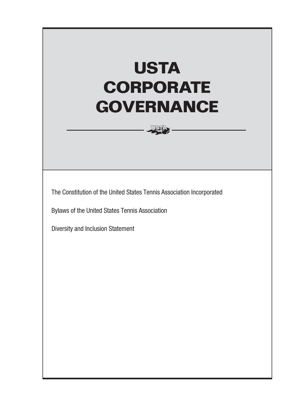# **USTA CORPORATE GOVERNANCE**

The Constitution of the United States Tennis Association Incorporated

Bylaws of the United States Tennis Association

Diversity and Inclusion Statement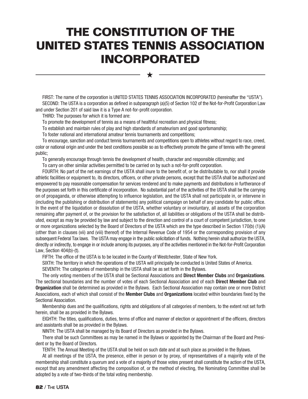# **THE CONSTITUTION OF THE UNITED STATES TENNIS ASSOCIATION INCORPORATED**

FIRST: The name of the corporation is UNITED STATES TENNIS ASSOCIATION INCORPORATED (hereinafter the "USTA"). SECOND: The USTA is a corporation as defined in subparagraph (a)(5) of Section 102 of the Not-for-Profit Corporation Law and under Section 201 of said law it is a Type A not-for-profit corporation.

★

THIRD: The purposes for which it is formed are:

To promote the development of tennis as a means of healthful recreation and physical fitness;

To establish and maintain rules of play and high standards of amateurism and good sportsmanship;

To foster national and international amateur tennis tournaments and competitions;

To encourage, sanction and conduct tennis tournaments and competitions open to athletes without regard to race, creed, color or national origin and under the best conditions possible so as to effectively promote the game of tennis with the general public;

To generally encourage through tennis the development of health, character and responsible citizenship; and

To carry on other similar activities permitted to be carried on by such a not-for-profit corporation.

FOURTH: No part of the net earnings of the USTA shall inure to the benefit of, or be distributable to, nor shall it provide athletic facilities or equipment to, its directors, officers, or other private persons, except that the USTA shall be authorized and empowered to pay reasonable compensation for services rendered and to make payments and distributions in furtherance of the purposes set forth in this certificate of incorporation. No substantial part of the activities of the USTA shall be the carrying on of propaganda, or otherwise attempting to influence legislation, and the USTA shall not participate in, or intervene in (including the publishing or distribution of statements) any political campaign on behalf of any candidate for public office. In the event of the liquidation or dissolution of the USTA, whether voluntary or involuntary, all assets of the corporation remaining after payment of, or the provision for the satisfaction of, all liabilities or obligations of the USTA shall be distributed, except as may be provided by law and subject to the direction and control of a court of competent jurisdiction, to one or more organizations selected by the Board of Directors of the USTA which are the type described in Section 170(b) (1)(A) (other than in clauses (vii) and (viii) thereof) of the Internal Revenue Code of 1954 or the corresponding provision of any subsequent Federal Tax laws. The USTA may engage in the public solicitation of funds. Nothing herein shall authorize the USTA, directly or indirectly, to engage in or include among its purposes, any of the activities mentioned in the Not-for-Profit Corporation Law, Section 404(b)-(t).

FIFTH: The office of the USTA is to be located in the County of Westchester, State of New York.

SIXTH: The territory in which the operations of the USTA will principally be conducted is United States of America.

SEVENTH: The categories of membership in the USTA shall be as set forth in the Bylaws.

The only voting members of the USTA shall be Sectional Associations and **Direct Member Clubs** and **Organizations**. The sectional boundaries and the number of votes of each Sectional Association and of each **Direct Member Club** and **Organization** shall be determined as provided in the Bylaws. Each Sectional Association may contain one or more District Associations, each of which shall consist of the **Member Clubs** and **Organizations** located within boundaries fixed by the Sectional Association.

Membership dues and the qualifications, rights and obligations of all categories of members, to the extent not set forth herein, shall be as provided in the Bylaws.

EIGHTH: The titles, qualifications, duties, terms of office and manner of election or appointment of the officers, directors and assistants shall be as provided in the Bylaws.

NINTH: The USTA shall be managed by its Board of Directors as provided in the Bylaws.

There shall be such Committees as may be named in the Bylaws or appointed by the Chairman of the Board and President or by the Board of Directors.

TENTH: The Annual Meeting of the USTA shall be held on such date and at such place as provided in the Bylaws.

At all meetings of the USTA, the presence, either in person or by proxy, of representatives of a majority vote of the membership shall constitute a quorum and a vote of a majority of those votes present shall constitute the action of the USTA, except that any amendment affecting the composition of, or the method of electing, the Nominating Committee shall be adopted by a vote of two-thirds of the total voting membership.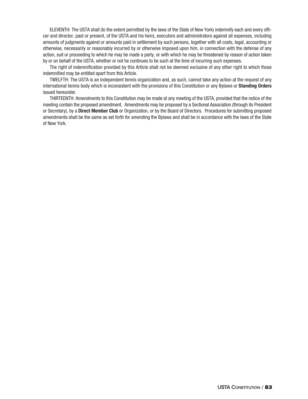ELEVENTH: The USTA shall (to the extent permitted by the laws of the State of New York) indemnify each and every officer and director, past or present, of the USTA and his heirs, executors and administrators against all expenses, including amounts of judgments against or amounts paid in settlement by such persons, together with all costs, legal, accounting or otherwise, necessarily or reasonably incurred by or otherwise imposed upon him, in connection with the defense of any action, suit or proceeding to which he may be made a party, or with which he may be threatened by reason of action taken by or on behalf of the USTA, whether or not he continues to be such at the time of incurring such expenses.

The right of indemnification provided by this Article shall not be deemed exclusive of any other right to which those indemnified may be entitled apart from this Article.

TWELFTH: The USTA is an independent tennis organization and, as such, cannot take any action at the request of any international tennis body which is inconsistent with the provisions of this Constitution or any Bylaws or **Standing Orders** issued hereunder.

THIRTEENTH: Amendments to this Constitution may be made at any meeting of the USTA, provided that the notice of the meeting contain the proposed amendment. Amendments may be proposed by a Sectional Association (through its President or Secretary), by a **Direct Member Club** or Organization, or by the Board of Directors. Procedures for submitting proposed amendments shall be the same as set forth for amending the Bylaws and shall be in accordance with the laws of the State of New York.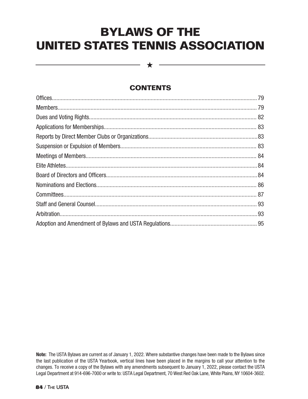# **BYLAWS OF THE UNITED STATES TENNIS ASSOCIATION**

 $\bigstar$ 

# **CONTENTS**

**Note:** The USTA Bylaws are current as of January 1, 2022. Where substantive changes have been made to the Bylaws since the last publication of the USTA Yearbook, vertical lines have been placed in the margins to call your attention to the changes. To receive a copy of the Bylaws with any amendments subsequent to January 1, 2022, please contact the USTA Legal Department at 914-696-7000 or write to: USTA Legal Department, 70 West Red Oak Lane, White Plains, NY 10604-3602.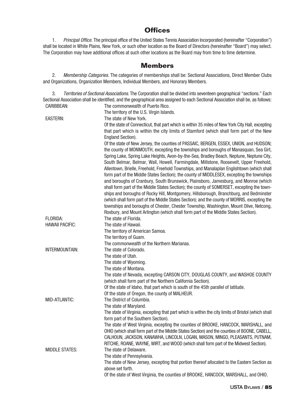#### **Offices**

1. Principal Office. The principal office of the United States Tennis Association Incorporated (hereinafter "Corporation") shall be located in White Plains, New York, or such other location as the Board of Directors (hereinafter "Board") may select. The Corporation may have additional offices at such other locations as the Board may from time to time determine.

#### **Members**

2. Membership Categories. The categories of memberships shall be: Sectional Associations, Direct Member Clubs and Organizations, Organization Members, Individual Members, and Honorary Members.

3. Territories of Sectional Associations. The Corporation shall be divided into seventeen geographical "sections." Each Sectional Association shall be identified, and the geographical area assigned to each Sectional Association shall be, as follows: The commonwealth of Puerto Rico.

|                        | The territory of the U.S. Virgin Islands.                                                                                                                                                                                                                                         |
|------------------------|-----------------------------------------------------------------------------------------------------------------------------------------------------------------------------------------------------------------------------------------------------------------------------------|
| <b>EASTERN:</b>        | The state of New York.                                                                                                                                                                                                                                                            |
|                        | Of the state of Connecticut, that part which is within 35 miles of New York City Hall, excepting<br>that part which is within the city limits of Stamford (which shall form part of the New                                                                                       |
|                        | England Section).                                                                                                                                                                                                                                                                 |
|                        | Of the state of New Jersey, the counties of PASSAIC, BERGEN, ESSEX, UNION, and HUDSON;<br>the county of MONMOUTH, excepting the townships and boroughs of Manasquan, Sea Girt,<br>Spring Lake, Spring Lake Heights, Avon-by-the-Sea, Bradley Beach, Neptune, Neptune City,        |
|                        | South Belmar, Belmar, Wall, Howell, Farmingdale, Millstone, Roosevelt, Upper Freehold,<br>Allentown, Brielle, Freehold, Freehold Townships, and Manalaplan Englishtown (which shall                                                                                               |
|                        | form part of the Middle States Section); the county of MIDDLESEX, excepting the townships                                                                                                                                                                                         |
|                        | and boroughs of Cranbury, South Brunswick, Plainsboro, Jamesburg, and Monroe (which<br>shall form part of the Middle States Section); the county of SOMERSET, excepting the town-                                                                                                 |
|                        | ships and boroughs of Rocky Hill, Montgomery, Hillsborough, Branchburg, and Bedminster<br>(which shall form part of the Middle States Section); and the county of MORRIS, excepting the<br>townships and boroughs of Chester, Chester Township, Washington, Mount Olive, Netcong, |
|                        | Roxbury, and Mount Arlington (which shall form part of the Middle States Section).                                                                                                                                                                                                |
| FLORIDA:               | The state of Florida.                                                                                                                                                                                                                                                             |
| <b>HAWAII PACIFIC:</b> | The state of Hawaii.                                                                                                                                                                                                                                                              |
|                        | The territory of American Samoa.                                                                                                                                                                                                                                                  |
|                        | The territory of Guam.                                                                                                                                                                                                                                                            |
|                        | The commonwealth of the Northern Marianas.                                                                                                                                                                                                                                        |
| INTERMOUNTAIN:         | The state of Colorado.                                                                                                                                                                                                                                                            |
|                        | The state of Utah.                                                                                                                                                                                                                                                                |
|                        | The state of Wyoming.                                                                                                                                                                                                                                                             |
|                        | The state of Montana.                                                                                                                                                                                                                                                             |
|                        | The state of Nevada, excepting CARSON CITY, DOUGLAS COUNTY, and WASHOE COUNTY<br>(which shall form part of the Northern California Section).                                                                                                                                      |
|                        | Of the state of Idaho, that part which is south of the 45th parallel of latitude.                                                                                                                                                                                                 |
|                        | Of the state of Oregon, the county of MALHEUR.                                                                                                                                                                                                                                    |
| MID-ATLANTIC:          | The District of Columbia.                                                                                                                                                                                                                                                         |
|                        | The state of Maryland.                                                                                                                                                                                                                                                            |
|                        | The state of Virginia, excepting that part which is within the city limits of Bristol (which shall<br>form part of the Southern Section).                                                                                                                                         |
|                        | The state of West Virginia, excepting the counties of BROOKE, HANCOCK, MARSHALL, and                                                                                                                                                                                              |
|                        | OHIO (which shall form part of the Middle States Section) and the counties of BOONE, CABELL,<br>CALHOUN, JACKSON, KANAWHA, LINCOLN, LOGAN, MASON, MINGO, PLEASANTS, PUTNAM,<br>RITCHIE, ROANE, WAYNE, WIRT, and WOOD (which shall form part of the Midwest Section).              |
| <b>MIDDLE STATES:</b>  | The state of Delaware.                                                                                                                                                                                                                                                            |
|                        | The state of Pennsylvania.                                                                                                                                                                                                                                                        |
|                        | The state of New Jersey, excepting that portion thereof allocated to the Eastern Section as                                                                                                                                                                                       |
|                        | above set forth.                                                                                                                                                                                                                                                                  |
|                        | Of the state of West Virginia, the counties of BROOKE, HANCOCK, MARSHALL, and OHIO.                                                                                                                                                                                               |
|                        |                                                                                                                                                                                                                                                                                   |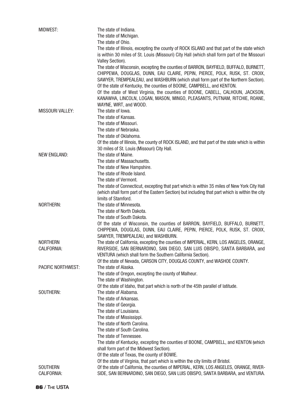| MIDWEST:                       | The state of Indiana.<br>The state of Michigan.                                                                                                                                                                                                           |
|--------------------------------|-----------------------------------------------------------------------------------------------------------------------------------------------------------------------------------------------------------------------------------------------------------|
|                                | The state of Ohio.<br>The state of Illinois, excepting the county of ROCK ISLAND and that part of the state which<br>is within 30 miles of St. Louis (Missouri) City Hall (which shall form part of the Missouri<br>Valley Section).                      |
|                                | The state of Wisconsin, excepting the counties of BARRON, BAYFIELD, BUFFALO, BURNETT,<br>CHIPPEWA, DOUGLAS, DUNN, EAU CLAIRE, PEPIN, PIERCE, POLK, RUSK, ST. CROIX,<br>SAWYER, TREMPEALEAU, and WASHBURN (which shall form part of the Northern Section). |
|                                | Of the state of Kentucky, the counties of BOONE, CAMPBELL, and KENTON.<br>Of the state of West Virginia, the counties of BOONE, CABELL, CALHOUN, JACKSON,<br>KANAWHA, LINCOLN, LOGAN, MASON, MINGO, PLEASANTS, PUTNAM, RITCHIE, ROANE,                    |
| <b>MISSOURI VALLEY:</b>        | WAYNE, WIRT, and WOOD.<br>The state of lowa.                                                                                                                                                                                                              |
|                                | The state of Kansas.                                                                                                                                                                                                                                      |
|                                | The state of Missouri.                                                                                                                                                                                                                                    |
|                                | The state of Nebraska.                                                                                                                                                                                                                                    |
|                                | The state of Oklahoma.                                                                                                                                                                                                                                    |
|                                | Of the state of Illinois, the county of ROCK ISLAND, and that part of the state which is within                                                                                                                                                           |
|                                | 30 miles of St. Louis (Missouri) City Hall.                                                                                                                                                                                                               |
| <b>NEW ENGLAND:</b>            | The state of Maine.                                                                                                                                                                                                                                       |
|                                | The state of Massachusetts.                                                                                                                                                                                                                               |
|                                | The state of New Hampshire.                                                                                                                                                                                                                               |
|                                | The state of Rhode Island.                                                                                                                                                                                                                                |
|                                | The state of Vermont.<br>The state of Connecticut, excepting that part which is within 35 miles of New York City Hall                                                                                                                                     |
|                                | (which shall form part of the Eastern Section) but including that part which is within the city                                                                                                                                                           |
|                                | limits of Stamford.                                                                                                                                                                                                                                       |
| <b>NORTHERN:</b>               | The state of Minnesota.                                                                                                                                                                                                                                   |
|                                | The state of North Dakota.                                                                                                                                                                                                                                |
|                                | The state of South Dakota.                                                                                                                                                                                                                                |
|                                | Of the state of Wisconsin, the counties of BARRON, BAYFIELD, BUFFALO, BURNETT,                                                                                                                                                                            |
|                                | CHIPPEWA, DOUGLAS, DUNN, EAU CLAIRE, PEPIN, PIERCE, POLK, RUSK, ST. CROIX,                                                                                                                                                                                |
|                                | SAWYER, TREMPEALEAU, and WASHBURN.                                                                                                                                                                                                                        |
| <b>NORTHERN</b><br>CALIFORNIA: | The state of California, excepting the counties of IMPERIAL, KERN, LOS ANGELES, ORANGE,<br>RIVERSIDE, SAN BERNARDINO, SAN DIEGO, SAN LUIS OBISPO, SANTA BARBARA, and<br>VENTURA (which shall form the Southern California Section).                       |
|                                | Of the state of Nevada, CARSON CITY, DOUGLAS COUNTY, and WASHOE COUNTY.                                                                                                                                                                                   |
| <b>PACIFIC NORTHWEST:</b>      | The state of Alaska.                                                                                                                                                                                                                                      |
|                                | The state of Oregon, excepting the county of Malheur.                                                                                                                                                                                                     |
|                                | The state of Washington.                                                                                                                                                                                                                                  |
|                                | Of the state of Idaho, that part which is north of the 45th parallel of latitude.                                                                                                                                                                         |
| SOUTHERN:                      | The state of Alabama.                                                                                                                                                                                                                                     |
|                                | The state of Arkansas.                                                                                                                                                                                                                                    |
|                                | The state of Georgia.<br>The state of Louisiana.                                                                                                                                                                                                          |
|                                | The state of Mississippi.                                                                                                                                                                                                                                 |
|                                | The state of North Carolina.                                                                                                                                                                                                                              |
|                                | The state of South Carolina.                                                                                                                                                                                                                              |
|                                | The state of Tennessee.                                                                                                                                                                                                                                   |
|                                | The state of Kentucky, excepting the counties of BOONE, CAMPBELL, and KENTON (which                                                                                                                                                                       |
|                                | shall form part of the Midwest Section).                                                                                                                                                                                                                  |
|                                | Of the state of Texas, the county of BOWIE.                                                                                                                                                                                                               |
|                                | Of the state of Virginia, that part which is within the city limits of Bristol.                                                                                                                                                                           |
| <b>SOUTHERN</b><br>CALIFORNIA: | Of the state of California, the counties of IMPERIAL, KERN, LOS ANGELES, ORANGE, RIVER-<br>SIDE, SAN BERNARDINO, SAN DIEGO, SAN LUIS OBISPO, SANTA BARBARA, and VENTURA.                                                                                  |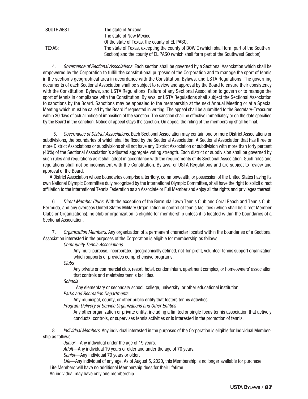| SOUTHWEST: | The state of Arizona.                                                                    |
|------------|------------------------------------------------------------------------------------------|
|            | The state of New Mexico.                                                                 |
|            | Of the state of Texas, the county of EL PASO.                                            |
| TEXAS:     | The state of Texas, excepting the county of BOWIE (which shall form part of the Southern |
|            | Section) and the county of EL PASO (which shall form part of the Southwest Section).     |

4. Governance of Sectional Associations. Each section shall be governed by a Sectional Association which shall be empowered by the Corporation to fulfill the constitutional purposes of the Corporation and to manage the sport of tennis in the section's geographical area in accordance with the Constitution, Bylaws, and USTA Regulations. The governing documents of each Sectional Association shall be subject to review and approval by the Board to ensure their consistency with the Constitution, Bylaws, and USTA Regulations. Failure of any Sectional Association to govern or to manage the sport of tennis in compliance with the Constitution, Bylaws, or USTA Regulations shall subject the Sectional Association to sanctions by the Board. Sanctions may be appealed to the membership at the next Annual Meeting or at a Special Meeting which must be called by the Board if requested in writing. The appeal shall be submitted to the Secretary-Treasurer within 30 days of actual notice of imposition of the sanction. The sanction shall be effective immediately or on the date specified by the Board in the sanction. Notice of appeal stays the sanction. On appeal the ruling of the membership shall be final.

5. Governance of District Associations. Each Sectional Association may contain one or more District Associations or subdivisions, the boundaries of which shall be fixed by the Sectional Association. A Sectional Association that has three or more District Associations or subdivisions shall not have any District Association or subdivision with more than forty percent (40%) of the Sectional Association's adjusted aggregate voting strength. Each district or subdivision shall be governed by such rules and regulations as it shall adopt in accordance with the requirements of its Sectional Association. Such rules and regulations shall not be inconsistent with the Constitution, Bylaws, or USTA Regulations and are subject to review and approval of the Board.

A District Association whose boundaries comprise a territory, commonwealth, or possession of the United States having its own National Olympic Committee duly recognized by the International Olympic Committee, shall have the right to solicit direct affiliation to the International Tennis Federation as an Associate or Full Member and enjoy all the rights and privileges thereof.

6. Direct Member Clubs. With the exception of the Bermuda Lawn Tennis Club and Coral Beach and Tennis Club, Bermuda, and any overseas United States Military Organization in control of tennis facilities (which shall be Direct Member Clubs or Organizations), no club or organization is eligible for membership unless it is located within the boundaries of a Sectional Association.

7. Organization Members. Any organization of a permanent character located within the boundaries of a Sectional Association interested in the purposes of the Corporation is eligible for membership as follows:

Community Tennis Associations

 Any multi-purpose, incorporated, geographically defined, not-for-profit, volunteer tennis support organization which supports or provides comprehensive programs.

**Clubs** 

 Any private or commercial club, resort, hotel, condominium, apartment complex, or homeowners' association that controls and maintains tennis facilities.

**Schools** 

Any elementary or secondary school, college, university, or other educational institution.

Parks and Recreation Departments

Any municipal, county, or other public entity that fosters tennis activities.

Program Delivery or Service Organizations and Other Entities

 Any other organization or private entity, including a limited or single focus tennis association that actively conducts, controls, or supervises tennis activities or is interested in the promotion of tennis.

8. Individual Members. Any individual interested in the purposes of the Corporation is eligible for Individual Membership as follows:

Junior—Any individual under the age of 19 years.

Adult-Any individual 19 years or older and under the age of 70 years.

Senior-Any individual 70 years or older.

Life—Any individual of any age. As of August 5, 2020, this Membership is no longer available for purchase. Life Members will have no additional Membership dues for their lifetime.

An individual may have only one membership.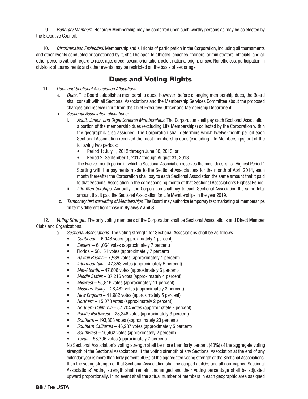9. Honorary Members. Honorary Membership may be conferred upon such worthy persons as may be so elected by the Executive Council.

10. Discrimination Prohibited. Membership and all rights of participation in the Corporation, including all tournaments and other events conducted or sanctioned by it, shall be open to athletes, coaches, trainers, administrators, officials, and all other persons without regard to race, age, creed, sexual orientation, color, national origin, or sex. Nonetheless, participation in divisions of tournaments and other events may be restricted on the basis of sex or age.

#### **Dues and Voting Rights**

- 11. Dues and Sectional Association Allocations.
	- a. Dues. The Board establishes membership dues. However, before changing membership dues, the Board shall consult with all Sectional Associations and the Membership Services Committee about the proposed changes and receive input from the Chief Executive Officer and Membership Department.
	- b. Sectional Association allocations:
		- i. Adult, Junior, and Organizational Memberships. The Corporation shall pay each Sectional Association a portion of the membership dues (excluding Life Memberships) collected by the Corporation within the geographic area assigned. The Corporation shall determine which twelve-month period each Sectional Association received the most membership dues (excluding Life Memberships) out of the following two periods:
			- Period 1: July 1, 2012 through June 30, 2013; or
			- Period 2: September 1, 2012 through August 31, 2013.

 The twelve-month period in which a Sectional Association receives the most dues is its "Highest Period." Starting with the payments made to the Sectional Associations for the month of April 2014, each month thereafter the Corporation shall pay to each Sectional Association the same amount that it paid to that Sectional Association in the corresponding month of that Sectional Association's Highest Period.

- ii. Life Memberships. Annually, the Corporation shall pay to each Sectional Association the same total amount that it paid the Sectional Association for Life Memberships in the year 2019.
- c. Temporary test marketing of Memberships. The Board may authorize temporary test marketing of memberships on terms different from those in **Bylaws 7 and 8**.

12. *Voting Strength*. The only voting members of the Corporation shall be Sectional Associations and Direct Member Clubs and Organizations.

a. Sectional Associations. The voting strength for Sectional Associations shall be as follows:

- $Caribbean 6,048 \text{ votes (approximately 1 percent)}$
- $Eastern 61,064$  votes (approximately 7 percent)
- Florida 58,151 votes (approximately 7 percent)
- Hawaii Pacific 7,939 votes (approximately 1 percent)
- Intermountain  $-47,353$  votes (approximately 5 percent)
- $Mid- Atlantic 47,806$  votes (approximately 6 percent)
- Middle States 37,216 votes (approximately 4 percent)
- Midwest 95,816 votes (approximately 11 percent)
- Missouri Valley 28,482 votes (approximately 3 percent)
- New England  $-41,982$  votes (approximately 5 percent)
- $$
- Northern California 57,704 votes (approximately 7 percent)
- Pacific Northwest 28,346 votes (approximately 3 percent)
- Southern 193,803 votes (approximately 23 percent)
- Southern California 46,287 votes (approximately 5 percent)
- Southwest 16,462 votes (approximately 2 percent)
- Texas 58,706 votes (approximately 7 percent)

 No Sectional Association's voting strength shall be more than forty percent (40%) of the aggregate voting strength of the Sectional Associations. If the voting strength of any Sectional Association at the end of any calendar year is more than forty percent (40%) of the aggregated voting strength of the Sectional Associations, then the voting strength of that Sectional Association shall be capped at 40% and all non-capped Sectional Associations' voting strength shall remain unchanged and their voting percentage shall be adjusted upward proportionally. In no event shall the actual number of members in each geographic area assigned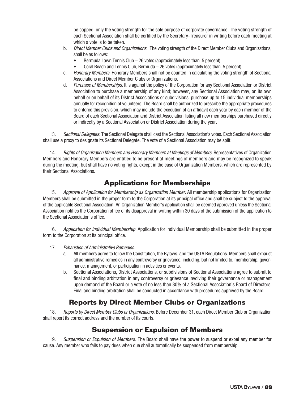be capped, only the voting strength for the sole purpose of corporate governance. The voting strength of each Sectional Association shall be certified by the Secretary-Treasurer in writing before each meeting at which a vote is to be taken.

- b. Direct Member Clubs and Organizations. The voting strength of the Direct Member Clubs and Organizations, shall be as follows:
	- Bermuda Lawn Tennis Club 26 votes (approximately less than .5 percent)
	- Coral Beach and Tennis Club, Bermuda 26 votes (approximately less than .5 percent)
- c. Honorary Members. Honorary Members shall not be counted in calculating the voting strength of Sectional Associations and Direct Member Clubs or Organizations.
- d. Purchase of Memberships. It is against the policy of the Corporation for any Sectional Association or District Association to purchase a membership of any kind; however, any Sectional Association may, on its own behalf or on behalf of its District Associations or subdivisions, purchase up to 15 individual memberships annually for recognition of volunteers. The Board shall be authorized to prescribe the appropriate procedures to enforce this provision, which may include the execution of an affidavit each year by each member of the Board of each Sectional Association and District Association listing all new memberships purchased directly or indirectly by a Sectional Association or District Association during the year.

13. Sectional Delegates. The Sectional Delegate shall cast the Sectional Association's votes. Each Sectional Association shall use a proxy to designate its Sectional Delegate. The vote of a Sectional Association may be split.

14. Rights of Organization Members and Honorary Members at Meetings of Members. Representatives of Organization Members and Honorary Members are entitled to be present at meetings of members and may be recognized to speak during the meeting, but shall have no voting rights, except in the case of Organization Members, which are represented by their Sectional Associations.

# **Applications for Memberships**

15. Approval of Application for Membership as Organization Member. All membership applications for Organization Members shall be submitted in the proper form to the Corporation at its principal office and shall be subject to the approval of the applicable Sectional Association. An Organization Member's application shall be deemed approved unless the Sectional Association notifies the Corporation office of its disapproval in writing within 30 days of the submission of the application to the Sectional Association's office.

16. Application for Individual Membership. Application for Individual Membership shall be submitted in the proper form to the Corporation at its principal office.

- 17. Exhaustion of Administrative Remedies.
	- a. All members agree to follow the Constitution, the Bylaws, and the USTA Regulations. Members shall exhaust all administrative remedies in any controversy or grievance, including, but not limited to, membership, governance, management, or participation in activities or events.
	- b. Sectional Associations, District Associations, or subdivisions of Sectional Associations agree to submit to final and binding arbitration in any controversy or grievance involving their governance or management upon demand of the Board or a vote of no less than 30% of a Sectional Association's Board of Directors. Final and binding arbitration shall be conducted in accordance with procedures approved by the Board.

# **Reports by Direct Member Clubs or Organizations**

18. Reports by Direct Member Clubs or Organizations. Before December 31, each Direct Member Club or Organization shall report its correct address and the number of its courts.

#### **Suspension or Expulsion of Members**

19. Suspension or Expulsion of Members. The Board shall have the power to suspend or expel any member for cause. Any member who fails to pay dues when due shall automatically be suspended from membership.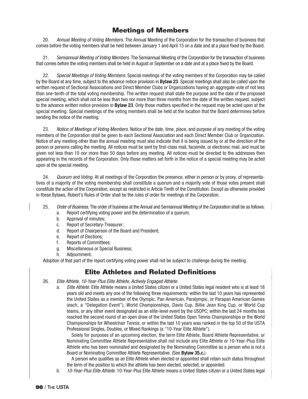#### **Meetings of Members**

20. Annual Meeting of Voting Members. The Annual Meeting of the Corporation for the transaction of business that comes before the voting members shall be held between January 1 and April 15 on a date and at a place fixed by the Board.

21. Semiannual Meeting of Voting Members. The Semiannual Meeting of the Corporation for the transaction of business that comes before the voting members shall be held in August or September on a date and at a place fixed by the Board.

22. Special Meetings of Voting Members. Special meetings of the voting members of the Corporation may be called by the Board at any time, subject to the advance notice provision in **Bylaw 23**. Special meetings shall also be called upon the written request of Sectional Associations and Direct Member Clubs or Organizations having an aggregate vote of not less than one-tenth of the total voting membership. The written request shall state the purpose and the date of the proposed special meeting, which shall not be less than two nor more than three months from the date of the written request, subject to the advance written notice provision in **Bylaw 23**. Only those matters specified in the request may be acted upon at the special meeting. Special meetings of the voting members shall be held at the location that the Board determines before sending the notice of the meeting.

23. Notice of Meetings of Voting Members. Notice of the date, time, place, and purpose of any meeting of the voting members of the Corporation shall be given to each Sectional Association and each Direct Member Club or Organization. Notice of any meeting other than the annual meeting must also indicate that it is being issued by or at the direction of the person or persons calling the meeting. All notices must be sent by first-class mail, facsimile, or electronic mail, and must be given not less than 10 nor more than 50 days before any meeting. All notices must be directed to the addresses then appearing in the records of the Corporation. Only those matters set forth in the notice of a special meeting may be acted upon at the special meeting.

24. Quorum and Voting. At all meetings of the Corporation the presence, either in person or by proxy, of representatives of a majority of the voting membership shall constitute a quorum and a majority vote of those votes present shall constitute the action of the Corporation, except as restricted in Article Tenth of the Constitution. Except as otherwise provided in these Bylaws, Robert's Rules of Order shall be the rules of order for meetings of the Corporation.

25. Order of Business. The order of business at the Annual and Semiannual Meeting of the Corporation shall be as follows:

- a. Report certifying voting power and the determination of a quorum;
- b. Approval of minutes;
- c. Report of Secretary-Treasurer;
- d. Report of Chairperson of the Board and President;
- e. Report of Elections;
- f. Reports of Committees;
- g. Miscellaneous or Special Business;
- h. Adjournment.

Adoption of that part of the report certifying voting power shall not be subject to challenge during the meeting.

# **Elite Athletes and Related Definitions**

- 26. Elite Athlete, 10-Year-Plus Elite Athlete, Actively Engaged Athlete.
	- a. Elite Athlete. Elite Athlete means a United States citizen or a United States legal resident who is at least 18 years old and meets any one of the following three requirements: within the last 10 years has represented the United States as a member of the Olympic, Pan American, Paralympic, or Parapan American Games (each, a "Delegation Event"), World Championships, Davis Cup, Billie Jean King Cup, or World Cup teams, or any other event designated as an elite-level event by the USOPC; within the last 24 months has reached the second round of an open draw of the United States Open Tennis Championships or the World Championships for Wheelchair Tennis; or within the last 10 years was ranked in the top 50 of the USTA Professional Singles, Doubles, or Mixed Rankings (a "10-Year Elite Athlete").

 Solely for purposes of an upcoming election, the term Elite Athlete, Board Athlete Representative, or Nominating Committee Athlete Representative shall not include any Elite Athlete or 10-Year-Plus Elite Athlete who has been nominated and designated by the Nominating Committee as a person who is not a Board or Nominating Committee Athlete Representative. (See **Bylaw 35.c.**)

 A person who qualifies as an Elite Athlete when elected or appointed shall retain such status throughout the term of the position to which the athlete has been elected, selected, or appointed.

b. 10-Year-Plus Elite Athlete. 10-Year-Plus Elite Athlete means a United States citizen or a United States legal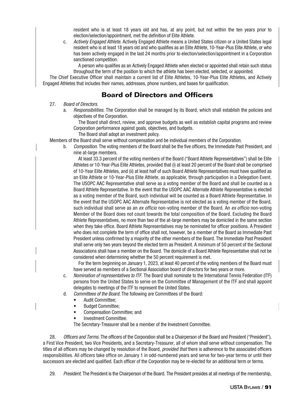resident who is at least 18 years old and has, at any point, but not within the ten years prior to election/selection/appointment, met the definition of Elite Athlete.

 c. Actively Engaged Athlete. Actively Engaged Athlete means a United States citizen or a United States legal resident who is at least 18 years old and who qualifies as an Elite Athlete, 10-Year-Plus Elite Athlete, or who has been actively engaged in the last 24 months prior to election/selection/appointment in a Corporation sanctioned competition.

 A person who qualifies as an Actively Engaged Athlete when elected or appointed shall retain such status throughout the term of the position to which the athlete has been elected, selected, or appointed.

The Chief Executive Officer shall maintain a current list of Elite Athletes, 10-Year-Plus Elite Athletes, and Actively Engaged Athletes that includes their names, addresses, phone numbers, and bases for qualification.

#### **Board of Directors and Officers**

#### 27. Board of Directors.

a. *Responsibilities*. The Corporation shall be managed by its Board, which shall establish the policies and objectives of the Corporation.

 The Board shall direct, review, and approve budgets as well as establish capital programs and review Corporation performance against goals, objectives, and budgets.

The Board shall adopt an investment policy.

Members of the Board shall serve without compensation and be individual members of the Corporation.

 b. Composition. The voting members of the Board shall be the five officers, the Immediate Past President, and nine at-large members.

 At least 33.3 percent of the voting members of the Board ("Board Athlete Representatives") shall be Elite Athletes or 10-Year-Plus Elite Athletes, provided that (i) at least 20 percent of the Board shall be comprised of 10-Year Elite Athletes, and (ii) at least half of such Board Athlete Representatives must have qualified as an Elite Athlete or 10-Year-Plus Elite Athlete, as applicable, through participation in a Delegation Event. The USOPC AAC Representative shall serve as a voting member of the Board and shall be counted as a Board Athlete Representative. In the event that the USOPC AAC Alternate Athlete Representative is elected as a voting member of the Board, such individual will be counted as a Board Athlete Representative. In the event that the USOPC AAC Alternate Representative is not elected as a voting member of the Board, such individual shall serve as an ex officio non-voting member of the Board. An ex officio non-voting Member of the Board does not count towards the total composition of the Board. Excluding the Board Athlete Representatives, no more than two of the at-large members may be domiciled in the same section when they take office. Board Athlete Representatives may be nominated for officer positions. A President who does not complete the term of office shall not, however, be a member of the Board as Immediate Past President unless confirmed by a majority of the other members of the Board. The Immediate Past President shall serve only two years beyond the elected term as President. A minimum of 50 percent of the Sectional Associations shall have a member on the Board. The domicile of a Board Athlete Representative shall not be considered when determining whether the 50 percent requirement is met.

 For the term beginning on January 1, 2023, at least 40 percent of the voting members of the Board must have served as members of a Sectional Association board of directors for two years or more.

- c. Nomination of representatives to ITF. The Board shall nominate to the International Tennis Federation (ITF) persons from the United States to serve on the Committee of Management of the ITF and shall appoint delegates to meetings of the ITF to represent the United States.
- d. Committees of the Board. The following are Committees of the Board:
	- Audit Committee;
	- Budget Committee;
	- Compensation Committee; and
	- Investment Committee.

The Secretary-Treasurer shall be a member of the Investment Committee.

28. Officers and Terms. The officers of the Corporation shall be a Chairperson of the Board and President ("President"), a First Vice President, two Vice Presidents, and a Secretary-Treasurer, all of whom shall serve without compensation. The titles of all officers may be changed by resolution of the Board, provided that there is adherence to the associated officers responsibilities. All officers take office on January 1 in odd-numbered years and serve for two-year terms or until their successors are elected and qualified. Each officer of the Corporation may be re-elected for an additional term or terms.

29. President. The President is the Chairperson of the Board. The President presides at all meetings of the membership,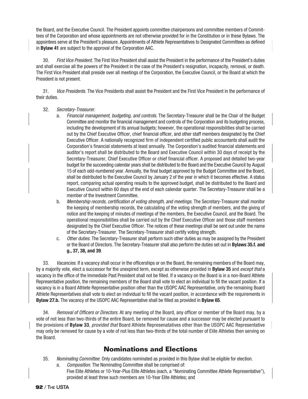the Board, and the Executive Council. The President appoints committee chairpersons and committee members of Committees of the Corporation and whose appointments are not otherwise provided for in the Constitution or in these Bylaws. The appointees serve at the President's pleasure. Appointments of Athlete Representatives to Designated Committees as defined in **Bylaw 41** are subject to the approval of the Corporation AAC.

30. First Vice President. The First Vice President shall assist the President in the performance of the President's duties and shall exercise all the powers of the President in the case of the President's resignation, incapacity, removal, or death. The First Vice President shall preside over all meetings of the Corporation, the Executive Council, or the Board at which the President is not present.

31. Vice Presidents. The Vice Presidents shall assist the President and the First Vice President in the performance of their duties.

- 32. Secretary-Treasurer.
	- a. Financial management, budgeting, and controls. The Secretary-Treasurer shall be the Chair of the Budget Committee and monitor the financial management and controls of the Corporation and its budgeting process, including the development of its annual budgets; however, the operational responsibilities shall be carried out by the Chief Executive Officer, chief financial officer, and other staff members designated by the Chief Executive Officer. A nationally recognized firm of independent certified public accountants shall audit the Corporation's financial statements at least annually. The Corporation's audited financial statements and auditor's report shall be distributed to the Board and Executive Council within 30 days of receipt by the Secretary-Treasurer, Chief Executive Officer or chief financial officer. A proposed and detailed two-year budget for the succeeding calendar years shall be distributed to the Board and the Executive Council by August 15 of each odd-numbered year. Annually, the final budget approved by the Budget Committee and the Board, shall be distributed to the Executive Council by January 2 of the year in which it becomes effective. A status report, comparing actual operating results to the approved budget, shall be distributed to the Board and Executive Council within 60 days of the end of each calendar quarter. The Secretary-Treasurer shall be a member of the Investment Committee.
	- b. Membership records, certification of voting strength, and meetings. The Secretary-Treasurer shall monitor the keeping of membership records, the calculating of the voting strength of members, and the giving of notice and the keeping of minutes of meetings of the members, the Executive Council, and the Board. The operational responsibilities shall be carried out by the Chief Executive Officer and those staff members designated by the Chief Executive Officer. The notices of these meetings shall be sent out under the name of the Secretary-Treasurer. The Secretary-Treasurer shall certify voting strength.
	- c. Other duties. The Secretary-Treasurer shall perform such other duties as may be assigned by the President or the Board of Directors. The Secretary-Treasurer shall also perform the duties set out in **Bylaws 35.f. and g., 37, 38, and 39**.

33. Vacancies. If a vacancy shall occur in the officerships or on the Board, the remaining members of the Board may, by a majority vote, elect a successor for the unexpired term, except as otherwise provided in **Bylaw 35** and except that a vacancy in the office of the Immediate Past President shall not be filled. If a vacancy on the Board is in a non-Board Athlete Representative position, the remaining members of the Board shall vote to elect an individual to fill the vacant position. If a vacancy is in a Board Athlete Representative position other than the USOPC AAC Representative, only the remaining Board Athlete Representatives shall vote to elect an individual to fill the vacant position, in accordance with the requirements in **Bylaw 27.b.** The vacancy of the USOPC AAC Representative shall be filled as provided in **Bylaw 65**.

34. Removal of Officers or Directors. At any meeting of the Board, any officer or member of the Board may, by a vote of not less than two-thirds of the entire Board, be removed for cause and a successor may be elected pursuant to the provisions of **Bylaw 33**, provided that Board Athlete Represenatatives other than the USOPC AAC Representative may only be removed for cause by a vote of not less than two-thirds of the total number of Elite Athletes then serving on the Board.

# **Nominations and Elections**

- 35. Nominating Committee. Only candidates nominated as provided in this Bylaw shall be eligible for election.
	- a. Composition. The Nominating Committee shall be comprised of: Five Elite Athletes or 10-Year-Plus Elite Athletes (each, a "Nominating Committee Athlete Representative"), provided at least three such members are 10-Year Elite Athletes; and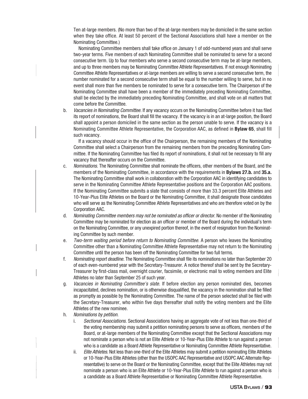Ten at-large members. (No more than two of the at-large members may be domiciled in the same section when they take office. At least 50 percent of the Sectional Associations shall have a member on the Nominating Committee.)

 Nominating Committee members shall take office on January 1 of odd-numbered years and shall serve two-year terms. Five members of each Nominating Committee shall be nominated to serve for a second consecutive term. Up to four members who serve a second consecutive term may be at-large members, and up to three members may be Nominating Committee Athlete Representatives. If not enough Nominating Committee Athlete Representatives or at-large members are willing to serve a second consecutive term, the number nominated for a second consecutive term shall be equal to the number willing to serve, but in no event shall more than five members be nominated to serve for a consecutive term. The Chairperson of the Nominating Committee shall have been a member of the immediately preceding Nominating Committee, shall be elected by the immediately preceding Nominating Committee, and shall vote on all matters that come before the Committee.

b. Vacancies in Nominating Committee. If any vacancy occurs on the Nominating Committee before it has filed its report of nominations, the Board shall fill the vacancy. If the vacancy is in an at-large position, the Board shall appoint a person domiciled in the same section as the person unable to serve. If the vacancy is a Nominating Committee Athlete Representative, the Corporation AAC, as defined in **Bylaw 65**, shall fill such vacancy.

 If a vacancy should occur in the office of the Chairperson, the remaining members of the Nominating Committee shall select a Chairperson from the remaining members from the preceding Nominating Committee. If the Nominating Committee has filed its report of nominations, it shall not be necessary to fill any vacancy that thereafter occurs on the Committee.

- c. Nominations. The Nominating Committee shall nominate the officers, other members of the Board, and the members of the Nominating Committee, in accordance with the requirements in **Bylaws 27.b.** and **35.a.** The Nominating Committee shall work in collaboration with the Corporation AAC in identifying candidates to serve in the Nominating Committee Athlete Representative positions and the Corporation AAC positions. If the Nominating Committee submits a slate that consists of more than 33.3 percent Elite Athletes and 10-Year-Plus Elite Athletes on the Board or the Nominating Committee, it shall designate those candidates who will serve as the Nominating Committee Athlete Representatives and who are therefore voted on by the Corporation AAC.
- d. Nominating Committee members may not be nominated as officer or director. No member of the Nominating Committee may be nominated for election as an officer or member of the Board during the individual's term on the Nominating Committee, or any unexpired portion thereof, in the event of resignation from the Nominating Committee by such member.
- e. Two-term waiting period before return to Nominating Committee. A person who leaves the Nominating Committee other than a Nominating Committee Athlete Representative may not return to the Nominating Committee until the person has been off the Nominating Committee for two full terms.
- f. Nominating report deadline. The Nominating Committee shall file its nominations no later than September 20 of each even-numbered year with the Secretary-Treasurer. A notice thereof shall be sent by the Secretary-Treasurer by first-class mail, overnight courier, facsimile, or electronic mail to voting members and Elite Athletes no later than September 25 of such year.
- g. Vacancies in Nominating Committee's slate. If before election any person nominated dies, becomes incapacitated, declines nomination, or is otherwise disqualified, the vacancy in the nomination shall be filled as promptly as possible by the Nominating Committee. The name of the person selected shall be filed with the Secretary-Treasurer, who within five days thereafter shall notify the voting members and the Elite Athletes of the new nominee.
- h. Nominations by petition.
	- i. Sectional Associations. Sectional Associations having an aggregate vote of not less than one-third of the voting membership may submit a petition nominating persons to serve as officers, members of the Board, or at-large members of the Nominating Committee except that the Sectional Associations may not nominate a person who is not an Elite Athlete or 10-Year-Plus Elite Athlete to run against a person who is a candidate as a Board Athlete Representative or Nominating Committee Athlete Representative.
	- ii. Elite Athletes. Not less than one-third of the Elite Athletes may submit a petition nominating Elite Athletes or 10-Year-Plus Elite Athletes (other than the USOPC AAC Representative and USOPC AAC Alternate Representative) to serve on the Board or the Nominating Committee, except that the Elite Athletes may not nominate a person who is an Elite Athlete or 10-Year-Plus Elite Athlete to run against a person who is a candidate as a Board Athlete Representative or Nominating Committee Athlete Representative.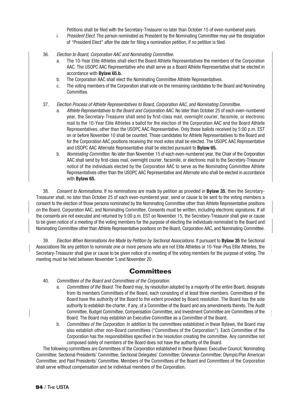Petitions shall be filed with the Secretary-Treasurer no later than October 15 of even-numbered years.

- i. President Elect. The person nominated as President by the Nominating Committee may use the designation of "President Elect" after the date for filing a nomination petition, if no petition is filed.
- 36. Election to Board, Corporation AAC and Nominating Committee.
	- a. The 10-Year Elite Athletes shall elect the Board Athlete Representatives the members of the Corporation AAC. The USOPC AAC Representative who shall serve as a Board Athlete Representative shall be elected in accordance with **Bylaw 65.b.**
	- b. The Corporation AAC shall elect the Nominating Committee Athlete Representatives.
	- c. The voting members of the Corporation shall vote on the remaining candidates to the Board and Nominating Committee.
- 37. Election Process of Athlete Representatives to Board, Corporation AAC, and Nominating Committee.
	- Athlete Representatives to the Board and Corporation AAC. No later than October 25 of each even-numbered year, the Secretary-Treasurer shall send by first-class mail, overnight courier, facsimile, or electronic mail to the 10-Year Elite Athletes a ballot for the election of the Corporation AAC and the Board Athlete Representatives, other than the USOPC AAC Representative. Only those ballots received by 5:00 p.m. EST on or before November 10 shall be counted. Those candidates for Athlete Representatives to the Board and for the Corporation AAC positions receiving the most votes shall be elected. The USOPC AAC Representative and USOPC AAC Alternate Representative shall be elected pursuant to **Bylaw 65.**
	- b. Nominating Committee. No later than November 15 of each even-numbered year, the Chair of the Corporation AAC shall send by first-class mail, overnight courier, facsimile, or electronic mail to the Secretary-Treasurer notice of the individuals elected by the Corporation AAC to serve as the Nominating Committee Athlete Representatives other than the USOPC AAC Representative and Alternate who shall be elected in accordance with **Bylaw 65.**

38. Consent to Nominations. If no nominations are made by petition as provided in **Bylaw 35**, then the Secretary - Treasurer shall, no later than October 25 of each even-numbered year, send or cause to be sent to the voting members a consent to the election of those persons nominated by the Nominating Committee other than Athlete Representative positions on the Board, Corporation AAC, and Nominating Committee. Consents must be written, including electronic signatures. If all the consents are not executed and returned by 5:00 p.m. EST on November 15, the Secretary-Treasurer shall give or cause to be given notice of a meeting of the voting members for the purpose of electing the individuals nominated to the Board and Nominating Committee other than Athlete Representative positions on the Board, Corporation AAC, and Nominating Committee.

39. Election When Nominations Are Made by Petition by Sectional Associations. If pursuant to **Bylaw 35** the Sectional Associations file any petition to nominate one or more persons who are not Elite Athletes or 10-Year-Plus Elite Athletes, the Secretary-Treasurer shall give or cause to be given notice of a meeting of the voting members for the purpose of voting. The meeting must be held between November 5 and November 20.

#### **Committees**

- 40. Committees of the Board and Committees of the Corporation.
	- a. Committees of the Board. The Board may, by resolution adopted by a majority of the entire Board, designate from its members Committees of the Board, each consisting of at least three members. Committees of the Board have the authority of the Board to the extent provided by Board resolution. The Board has the sole authority to establish the charter, if any, of a Committee of the Board and any amendments thereto. The Audit Committee, Budget Committee, Compensation Committee, and Investment Committee are Committees of the Board. The Board may establish an Executive Committee as a Committee of the Board.
	- b. Committees of the Corporation. In addition to the committees established in these Bylaws, the Board may also establish other non-Board committees ("Committees of the Corporation"). Each Committee of the Corporation has the responsibilities specified in the resolution creating the committee. Any committee not composed solely of members of the Board does not have the authority of the Board.

The following committees are Committees of the Corporation established in these Bylaws: Executive Council; Nominating Committee; Sectional Presidents' Committee; Sectional Delegates' Committee; Grievance Committee; Olympic/Pan American Committee; and Past Presidents' Committee. Members of the Committees of the Board and Committees of the Corporation shall serve without compensation and be individual members of the Corporation.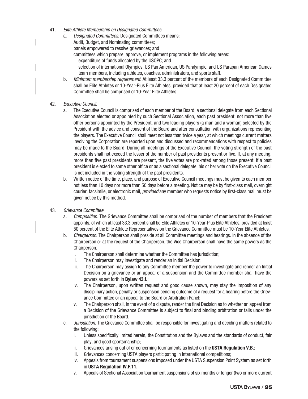- 41. Elite Athlete Membership on Designated Committees.
	- a. Designated Committees. Designated Committees means: Audit, Budget, and Nominating committees;
		-
		- panels empowered to resolve grievances; and
		- committees which prepare, approve, or implement programs in the following areas:
			- expenditure of funds allocated by the USOPC; and
			- selection of international Olympics, US Pan American, US Paralympic, and US Parapan American Games team members, including athletes, coaches, administrators, and sports staff.
	- b. Minimum membership requirement. At least 33.3 percent of the members of each Designated Committee shall be Elite Athletes or 10-Year-Plus Elite Athletes, provided that at least 20 percent of each Designated Committee shall be comprised of 10-Year Elite Athletes.
- 42. Executive Council.
	- a. The Executive Council is comprised of each member of the Board, a sectional delegate from each Sectional Association elected or appointed by such Sectional Association, each past president, not more than five other persons appointed by the President, and two leading players (a man and a woman) selected by the President with the advice and consent of the Board and after consultation with organizations representing the players. The Executive Council shall meet not less than twice a year, at which meetings current matters involving the Corporation are reported upon and discussed and recommendations with respect to policies may be made to the Board. During all meetings of the Executive Council, the voting strength of the past presidents shall not exceed the lesser of the number of past presidents present or five. If, at any meeting, more than five past presidents are present, the five votes are pro-rated among those present. If a past president is elected to some other office or as a sectional delegate, his or her vote on the Executive Council is not included in the voting strength of the past presidents.
	- b. Written notice of the time, place, and purpose of Executive Council meetings must be given to each member not less than 10 days nor more than 50 days before a meeting. Notice may be by first-class mail, overnight courier, facsimile, or electronic mail, *provided* any member who requests notice by first-class mail must be given notice by this method.
- 43. Grievance Committee.
	- a. Composition. The Grievance Committee shall be comprised of the number of members that the President appoints, of which at least 33.3 percent shall be Elite Athletes or 10-Year-Plus Elite Athletes, provided at least 50 percent of the Elite Athlete Representatives on the Grievance Committee must be 10-Year Elite Athletes.
	- b. Chairperson. The Chairperson shall preside at all Committee meetings and hearings. In the absence of the Chairperson or at the request of the Chairperson, the Vice Chairperson shall have the same powers as the Chairperson.
		- i. The Chairperson shall determine whether the Committee has jurisdiction;
		- ii. The Chairperson may investigate and render an Initial Decision;
		- iii. The Chairperson may assign to any Committee member the power to investigate and render an Initial Decision on a grievance or an appeal of a suspension and the Committee member shall have the powers as set forth in **Bylaw 43.f.**;
		- iv. The Chairperson, upon written request and good cause shown, may stay the imposition of any disciplinary action, penalty or suspension pending outcome of a request for a hearing before the Grievance Committee or an appeal to the Board or Arbitration Panel;
		- v. The Chairperson shall, in the event of a dispute, render the final Decision as to whether an appeal from a Decision of the Grievance Committee is subject to final and binding arbitration or falls under the jurisdiction of the Board.
	- c. Jurisdiction. The Grievance Committee shall be responsible for investigating and deciding matters related to the following:
		- i. Unless specifically limited herein, the Constitution and the Bylaws and the standards of conduct, fair play, and good sportsmanship;
		- ii. Grievances arising out of or concerning tournaments as listed on the **USTA Regulation V.B.**;
		- iii. Grievances concerning USTA players participating in international competitions;
		- iv. Appeals from tournament suspensions imposed under the USTA Suspension Point System as set forth in **USTA Regulation IV.F.11.**;
		- v. Appeals of Sectional Association tournament suspensions of six months or longer (two or more current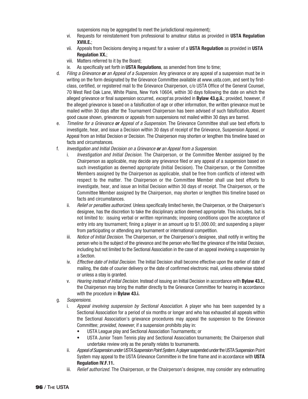suspensions may be aggregated to meet the jurisdictional requirement);

- vi. Requests for reinstatement from professional to amateur status as provided in **USTA Regulation XVIII.E.**;
- vii. Appeals from Decisions denying a request for a waiver of a **USTA Regulation** as provided in **USTA Regulation XX.**;
- viii. Matters referred to it by the Board;
- ix. As specifically set forth in **USTA Regulations**, as amended from time to time;
- d. Filing a Grievance **or** an Appeal of a Suspension. Any grievance or any appeal of a suspension must be in writing on the form designated by the Grievance Committee available at www.usta.com, and sent by firstclass, certified, or registered mail to the Grievance Chairperson, c/o USTA Office of the General Counsel, 70 West Red Oak Lane, White Plains, New York 10604, within 30 days following the date on which the alleged grievance or final suspension occurred, except as provided in **Bylaw 43.g.ii.**; provided, however, if the alleged grievance is based on a falsification of age or other information, the written grievance must be mailed within 30 days after the Tournament Chairperson has been advised of such falsification. Absent good cause shown, grievances or appeals from suspensions not mailed within 30 days are barred.
- e. Timeline for a Grievance **or** Appeal of a Suspension. The Grievance Committee shall use best efforts to investigate, hear, and issue a Decision within 30 days of receipt of the Grievance, Suspension Appeal, or Appeal from an Initial Decision or Decision. The Chairperson may shorten or lengthen this timeline based on facts and circumstances.
- f. Investigation and Initial Decision on a Grievance **or** an Appeal from a Suspension.
	- Investigation and Initial Decision. The Chairperson, or the Committee Member assigned by the Chairperson as applicable, may decide any grievance filed or any appeal of a suspension based on such investigation as deemed appropriate (Initial Decision). The Chairperson, or the Committee Members assigned by the Chairperson as applicable, shall be free from conflicts of interest with respect to the matter. The Chairperson or the Committee Member shall use best efforts to investigate, hear, and issue an Initial Decision within 30 days of receipt. The Chairperson, or the Committee Member assigned by the Chairperson, may shorten or lengthen this timeline based on facts and circumstances.
	- ii. Relief or penalties authorized. Unless specifically limited herein, the Chairperson, or the Chairperson's designee, has the discretion to take the disciplinary action deemed appropriate. This includes, but is not limited to: issuing verbal or written reprimands; imposing conditions upon the acceptance of entry into any tournament; fining a player in an amount up to \$1,000.00; and suspending a player from participating or attending any tournament or international competition.
	- iii. Notice of Initial Decision. The Chairperson, or the Chairperson's designee, shall notify in writing the person who is the subject of the grievance and the person who filed the grievance of the Initial Decision, including but not limited to the Sectional Association in the case of an appeal involving a suspension by a Section.
	- iv. Effective date of Initial Decision. The Initial Decision shall become effective upon the earlier of date of mailing, the date of courier delivery or the date of confirmed electronic mail, unless otherwise stated or unless a stay is granted.
	- v. Hearing instead of Initial Decision. Instead of issuing an Initial Decision in accordance with **Bylaw 43.f.**, the Chairperson may bring the matter directly to the Grievance Committee for hearing in accordance with the procedure in **Bylaw 43.i.**
- g. Suspensions.
	- i. Appeal involving suspension by Sectional Association. A player who has been suspended by a Sectional Association for a period of six months or longer and who has exhausted all appeals within the Sectional Association's grievance procedures may appeal the suspension to the Grievance Committee; provided, however, if a suspension prohibits play in:
		- USTA League play and Sectional Association Tournaments; or
		- USTA Junior Team Tennis play and Sectional Association tournaments; the Chairperson shall undertake review only as the penalty relates to tournaments.
	- ii. Appeal of Suspension under USTA Suspension Point System. A player suspended under the USTA Suspension Point System may appeal to the USTA Grievance Committee in the time frame and in accordance with **USTA Regulation IV.F.11.**
	- iii. *Relief authorized.* The Chairperson, or the Chairperson's designee, may consider any extenuating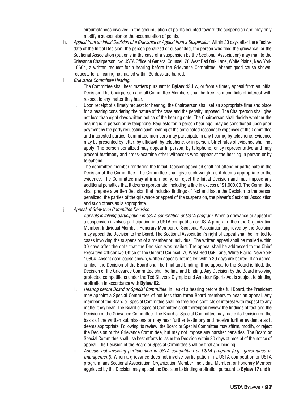circumstances involved in the accumulation of points counted toward the suspension and may only modify a suspension or the accumulation of points.

- h. Appeal from an Initial Decision of a Grievance or Appeal from a Suspension. Within 30 days after the effective date of the Initial Decision, the person penalized or suspended, the person who filed the grievance, or the Sectional Association (but only in the case of a suspension by the Sectional Association) may mail to the Grievance Chairperson, c/o USTA Office of General Counsel, 70 West Red Oak Lane, White Plains, New York 10604, a written request for a hearing before the Grievance Committee. Absent good cause shown, requests for a hearing not mailed within 30 days are barred.
- i. Grievance Committee Hearing.
	- i. The Committee shall hear matters pursuant to **Bylaw 43.f.v.**, or from a timely appeal from an Initial Decision. The Chairperson and all Committee Members shall be free from conflicts of interest with respect to any matter they hear.
	- ii. Upon receipt of a timely request for hearing, the Chairperson shall set an appropriate time and place for a hearing considering the nature of the case and the penalty imposed. The Chairperson shall give not less than eight days written notice of the hearing date. The Chairperson shall decide whether the hearing is in person or by telephone. Requests for in person hearings, may be conditioned upon prior payment by the party requesting such hearing of the anticipated reasonable expenses of the Committee and interested parties. Committee members may participate in any hearing by telephone. Evidence may be presented by letter, by affidavit, by telephone, or in person. Strict rules of evidence shall not apply. The person penalized may appear in person, by telephone, or by representative and may present testimony and cross-examine other witnesses who appear at the hearing in person or by telephone.
	- iii. The committee member rendering the Initial Decision appealed shall not attend or participate in the Decision of the Committee. The Committee shall give such weight as it deems appropriate to the evidence. The Committee may affirm, modify, or reject the Initial Decision and may impose any additional penalties that it deems appropriate, including a fine in excess of \$1,000.00. The Committee shall prepare a written Decision that includes findings of fact and issue the Decision to the person penalized, the parties of the grievance or appeal of the suspension, the player's Sectional Association and such others as is appropriate.
- j. Appeal of Grievance Committee Decision.
	- Appeals involving participation in USTA competition or USTA program. When a grievance or appeal of a suspension involves participation in a USTA competition or USTA program, then the Organization Member, Individual Member, Honorary Member, or Sectional Association aggrieved by the Decision may appeal the Decision to the Board. The Sectional Association's right of appeal shall be limited to cases involving the suspension of a member or individual. The written appeal shall be mailed within 30 days after the date that the Decision was mailed. The appeal shall be addressed to the Chief Executive Officer c/o Office of the General Counsel, 70 West Red Oak Lane, White Plains, New York 10604. Absent good cause shown, written appeals not mailed within 30 days are barred. If an appeal is filed, the Decision of the Board shall be final and binding. If no appeal to the Board is filed, the Decision of the Grievance Committee shall be final and binding. Any Decision by the Board involving protected competitions under the Ted Stevens Olympic and Amateur Sports Act is subject to binding arbitration in accordance with **Bylaw 62**.
	- ii. Hearing before Board or Special Committee. In lieu of a hearing before the full Board, the President may appoint a Special Committee of not less than three Board members to hear an appeal. Any member of the Board or Special Committee shall be free from conflicts of interest with respect to any matter they hear. The Board or Special Committee shall thereupon review the findings of fact and the Decision of the Grievance Committee. The Board or Special Committee may make its Decision on the basis of the written submissions or may hear further testimony and receive further evidence as it deems appropriate. Following its review, the Board or Special Committee may affirm, modify, or reject the Decision of the Grievance Committee, but may not impose any harsher penalties. The Board or Special Committee shall use best efforts to issue the Decision within 30 days of receipt of the notice of appeal. The Decision of the Board or Special Committee shall be final and binding.
	- iii Appeals not involving participation in USTA competition or USTA program (e.g., governance or management). When a grievance does not involve participation in a USTA competition or USTA program, any Sectional Association, Organization Member, Individual Member, or Honorary Member aggrieved by the Decision may appeal the Decision to binding arbitration pursuant to **Bylaw 17** and in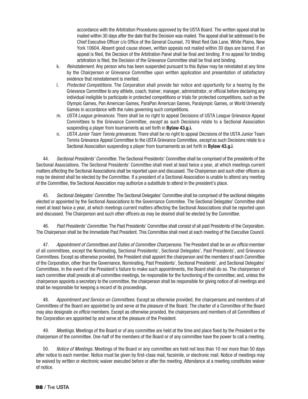accordance with the Arbitration Procedures approved by the USTA Board. The written appeal shall be mailed within 30 days after the date that the Decision was mailed. The appeal shall be addressed to the Chief Executive Officer c/o Office of the General Counsel, 70 West Red Oak Lane, White Plains, New York 10604. Absent good cause shown, written appeals not mailed within 30 days are barred. If an appeal is filed, the Decision of the Arbitration Panel shall be final and binding. If no appeal for binding arbitration is filed, the Decision of the Grievance Committee shall be final and binding.

- k. Reinstatement. Any person who has been suspended pursuant to this Bylaw may be reinstated at any time by the Chairperson or Grievance Committee upon written application and presentation of satisfactory evidence that reinstatement is merited.
- l. Protected Competitions. The Corporation shall provide fair notice and opportunity for a hearing by the Grievance Committee to any athlete, coach, trainer, manager, administrator, or official before declaring any individual ineligible to participate in protected competitions or trials for protected competitions, such as the Olympic Games, Pan American Games, ParaPan American Games, Paralympic Games, or World University Games in accordance with the rules governing such competitions.
- m. USTA League grievances. There shall be no right to appeal Decisions of USTA League Grievance Appeal Committees to the Grievance Committee, except as such Decisions relate to a Sectional Association suspending a player from tournaments as set forth in **Bylaw 43.g.i.**
- n. USTA Junior Team Tennis grievances. There shall be no right to appeal Decisions of the USTA Junior Team Tennis Grievance Appeal Committee to the USTA Grievance Committee, except as such Decisions relate to a Sectional Association suspending a player from tournaments as set forth in **Bylaw 43.g.i**.

44. Sectional Presidents' Committee. The Sectional Presidents' Committee shall be comprised of the presidents of the Sectional Associations. The Sectional Presidents' Committee shall meet at least twice a year, at which meetings current matters affecting the Sectional Associations shall be reported upon and discussed. The Chairperson and such other officers as may be desired shall be elected by the Committee. If a president of a Sectional Association is unable to attend any meeting of the Committee, the Sectional Association may authorize a substitute to attend in the president's place.

45. Sectional Delegates' Committee. The Sectional Delegates' Committee shall be comprised of the sectional delegates elected or appointed by the Sectional Associations to the Governance Commitee. The Sectional Delegates' Committee shall meet at least twice a year, at which meetings current matters affecting the Sectional Associations shall be reported upon and discussed. The Chairperson and such other officers as may be desired shall be elected by the Committee.

46. Past Presidents' Committee. The Past Presidents' Committee shall consist of all past Presidents of the Corporation. The Chairperson shall be the Immediate Past President. This Committee shall meet at each meeting of the Executive Council.

47. Appointment of Committees and Duties of Committee Chairpersons. The President shall be an ex officio member of all committees, except the Nominating, Sectional Presidents', Sectional Delegates', Past Presidents', and Grievance Committees. Except as otherwise provided, the President shall appoint the chairperson and the members of each Committee of the Corporation, other than the Governance, Nominating, Past Presidents', Sectional Presidents', and Sectional Delegates' Committees. In the event of the President's failure to make such appointments, the Board shall do so. The chairperson of each committee shall preside at all committee meetings, be responsible for the functioning of the committee; and, unless the chairperson appoints a secretary to the committee, the chairperson shall be responsible for giving notice of all meetings and shall be responsible for keeping a record of its proceedings.

48. Appointment and Service on Committees. Except as otherwise provided, the chairpersons and members of all Committees of the Board are appointed by and serve at the pleasure of the Board. The charter of a Committee of the Board may also designate ex officio members. Except as otherwise provided, the chairpersons and members of all Committees of the Corporation are appointed by and serve at the pleasure of the President.

49. Meetings. Meetings of the Board or of any committee are held at the time and place fixed by the President or the chairperson of the committee. One-half of the members of the Board or of any committee have the power to call a meeting.

50. Notice of Meetings. Meetings of the Board or any committee are held not less than 10 nor more than 50 days after notice to each member. Notice must be given by first-class mail, facsimile, or electronic mail. Notice of meetings may be waived by written or electronic waiver executed before or after the meeting. Attendance at a meeting constitutes waiver of notice.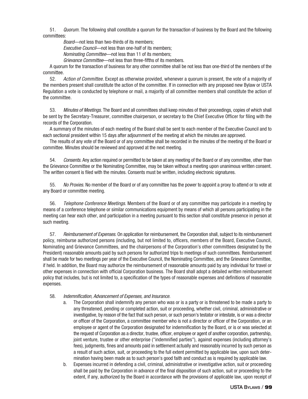51. Quorum. The following shall constitute a quorum for the transaction of business by the Board and the following committees:

Board—not less than two-thirds of its members;

Executive Council—not less than one-half of its members:

Nominating Committee—not less than 11 of its members;

Grievance Committee—not less than three-fifths of its members.

A quorum for the transaction of business for any other committee shall be not less than one-third of the members of the committee.

52. Action of Committee. Except as otherwise provided, whenever a quorum is present, the vote of a majority of the members present shall constitute the action of the committee. If in connection with any proposed new Bylaw or USTA Regulation a vote is conducted by telephone or mail, a majority of all committee members shall constitute the action of the committee.

53. Minutes of Meetings. The Board and all committees shall keep minutes of their proceedings, copies of which shall be sent by the Secretary-Treasurer, committee chairperson, or secretary to the Chief Executive Officer for filing with the records of the Corporation.

A summary of the minutes of each meeting of the Board shall be sent to each member of the Executive Council and to each sectional president within 15 days after adjournment of the meeting at which the minutes are approved.

The results of any vote of the Board or of any committee shall be recorded in the minutes of the meeting of the Board or committee. Minutes should be reviewed and approved at the next meeting.

54. Consents. Any action required or permitted to be taken at any meeting of the Board or of any committee, other than the Grievance Committee or the Nominating Committee, may be taken without a meeting upon unanimous written consent. The written consent is filed with the minutes. Consents must be written, including electronic signatures.

55. No Proxies. No member of the Board or of any committee has the power to appoint a proxy to attend or to vote at any Board or committee meeting.

56. *Telephone Conference Meetings.* Members of the Board or of any committee may participate in a meeting by means of a conference telephone or similar communications equipment by means of which all persons participating in the meeting can hear each other, and participation in a meeting pursuant to this section shall constitute presence in person at such meeting.

57. Reimbursement of Expenses. On application for reimbursement, the Corporation shall, subject to its reimbursement policy, reimburse authorized persons (including, but not limited to, officers, members of the Board, Executive Council, Nominating and Grievance Committees, and the chairpersons of the Corporation's other committees designated by the President) reasonable amounts paid by such persons for authorized trips to meetings of such committees. Reimbursement shall be made for two meetings per year of the Executive Council, the Nominating Committee, and the Grievance Committee, if held. In addition, the Board may authorize the reimbursement of reasonable amounts paid by any individual for travel or other expenses in connection with official Corporation business. The Board shall adopt a detailed written reimbursement policy that includes, but is not limited to, a specification of the types of reasonable expenses and definitions of reasonable expenses.

#### 58. Indemnification, Advancement of Expenses, and Insurance.

- a. The Corporation shall indemnify any person who was or is a party or is threatened to be made a party to any threatened, pending or completed action, suit or proceeding, whether civil, criminal, administrative or investigative, by reason of the fact that such person, or such person's testator or intestate, is or was a director or officer of the Corporation, a committee member who is not a director or officer of the Corporation, or an employee or agent of the Corporation designated for indemnification by the Board, or is or was selected at the request of Corporation as a director, trustee, officer, employee or agent of another corporation, partnership, joint venture, trustee or other enterprise ("indemnified parties"), against expenses (including attorney's fees), judgments, fines and amounts paid in settlement actually and reasonably incurred by such person as a result of such action, suit, or proceeding to the full extent permitted by applicable law, upon such determination having been made as to such person's good faith and conduct as is required by applicable law.
- b. Expenses incurred in defending a civil, criminal, administrative or investigative action, suit or proceeding shall be paid by the Corporation in advance of the final disposition of such action, suit or proceeding to the extent, if any, authorized by the Board in accordance with the provisions of applicable law, upon receipt of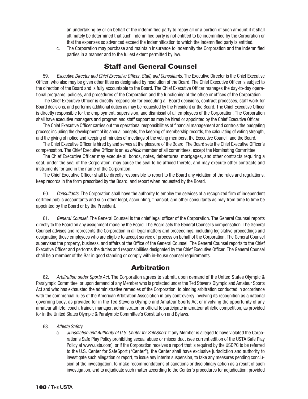an undertaking by or on behalf of the indemnified party to repay all or a portion of such amount if it shall ultimately be determined that such indemnified party is not entitled to be indemnified by the Corporation or that the expenses so advanced exceed the indemnification to which the indemnified party is entitled.

 c. The Corporation may purchase and maintain insurance to indemnify the Corporation and the indemnified parties in a manner and to the fullest extent permitted by law.

#### **Staff and General Counsel**

59. Executive Director and Chief Executive Officer, Staff, and Consultants. The Executive Director is the Chief Executive Officer, who also may be given other titles as designated by resolution of the Board. The Chief Executive Officer is subject to the direction of the Board and is fully accountable to the Board. The Chief Executive Officer manages the day-to-day operational programs, policies, and procedures of the Corporation and the functioning of the office or offices of the Corporation.

The Chief Executive Officer is directly responsible for executing all Board decisions, contract processes, staff work for Board decisions, and performs additional duties as may be requested by the President or the Board. The Chief Executive Officer is directly responsible for the employment, supervision, and dismissal of all employees of the Corporation. The Corporation shall have executive managers and program and staff support as may be hired or appointed by the Chief Executive Officer.

The Chief Executive Officer carries out the operational responsibilities of financial management and controls the budgeting process including the development of its annual budgets, the keeping of membership records, the calculating of voting strength, and the giving of notice and keeping of minutes of meetings of the voting members, the Executive Council, and the Board.

The Chief Executive Officer is hired by and serves at the pleasure of the Board. The Board sets the Chief Executive Officer's compensation. The Chief Executive Officer is an ex officio member of all committees, except the Nominating Committee.

The Chief Executive Officer may execute all bonds, notes, debentures, mortgages, and other contracts requiring a seal, under the seal of the Corporation, may cause the seal to be affixed thereto, and may execute other contracts and instruments for and in the name of the Corporation.

The Chief Executive Officer shall be directly responsible to report to the Board any violation of the rules and regulations, keep records in the form prescribed by the Board, and report when requested by the Board.

60. Consultants. The Corporation shall have the authority to employ the services of a recognized firm of independent certified public accountants and such other legal, accounting, financial, and other consultants as may from time to time be appointed by the Board or by the President.

61. General Counsel. The General Counsel is the chief legal officer of the Corporation. The General Counsel reports directly to the Board on any assignment made by the Board. The Board sets the General Counsel's compensation. The General Counsel advises and represents the Corporation in all legal matters and proceedings, including legislative proceedings and designating those employees who are eligible to accept service of process on behalf of the Corporation. The General Counsel supervises the property, business, and affairs of the Office of the General Counsel. The General Counsel reports to the Chief Executive Officer and performs the duties and responsibilities designated by the Chief Executive Officer. The General Counsel shall be a member of the Bar in good standing or comply with in-house counsel requirements.

#### **Arbitration**

62. Arbitration under Sports Act. The Corporation agrees to submit, upon demand of the United States Olympic & Paralympic Committee, or upon demand of any Member who is protected under the Ted Stevens Olympic and Amateur Sports Act and who has exhausted the administrative remedies of the Corporation, to binding arbitration conducted in accordance with the commercial rules of the American Arbitration Association in any controversy involving its recognition as a national governing body, as provided for in the Ted Stevens Olympic and Amateur Sports Act or involving the opportunity of any amateur athlete, coach, trainer, manager, administrator, or official to participate in amateur athletic competition, as provided for in the United States Olympic & Paralympic Committee's Constitution and Bylaws.

#### 63. Athlete Safety.

a. Jurisdiction and Authority of U.S. Center for SafeSport. If any Member is alleged to have violated the Corporation's Safe Play Policy prohibiting sexual abuse or misconduct (see current edition of the USTA Safe Play Policy at www.usta.com), or if the Corporation receives a report that is required by the USOPC to be referred to the U.S. Center for SafeSport ("Center"), the Center shall have exclusive jurisdiction and authority to investigate such allegation or report, to issue any interim suspension, to take any measures pending conclusion of the investigation, to make recommendations of sanctions or disciplinary action as a result of such investigation, and to adjudicate such matter according to the Center's procedures for adjudication; provided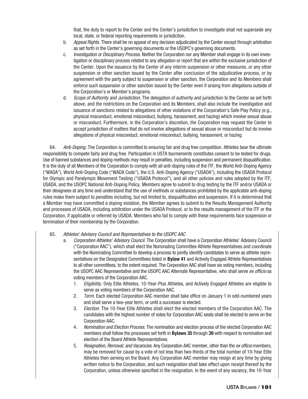that, the duty to report to the Center and the Center's jurisdiction to investigate shall not supersede any local, state, or federal reporting requirements or jurisdiction.

- b. Appeal Rights. There shall be no appeal of any decision adjudicated by the Center except through arbitration as set forth in the Center's governing documents or the USOPC's governing documents.
- c. Investigation or Disciplinary Process. Neither the Corporation nor any Member shall engage in its own investigation or disciplinary process related to any allegation or report that are within the exclusive jurisdiction of the Center. Upon the issuance by the Center of any interim suspension or other measures, or any other suspension or other sanction issued by the Center after conclusion of the adjudicative process, or by agreement with the party subject to suspension or other sanction, the Corporation and its Members shall enforce such suspension or other sanction issued by the Center even if arising from allegations outside of the Corporation's or Member's programs.
- d. Scope of Authority and Jurisdiction. The delegation of authority and jurisdiction to the Center as set forth above, and the restrictions on the Corporation and its Members, shall also include the investigation and issuance of sanctions related to allegations of other violations of the Corporation's Safe Play Policy (e.g., physical misconduct, emotional misconduct, bullying, harassment, and hazing) which involve sexual abuse or misconduct. Furthermore, in the Corporation's discretion, the Corporation may request the Center to accept jurisdiction of matters that do not involve allegations of sexual abuse or misconduct but do involve allegations of physical misconduct, emotional misconduct, bullying, harassment, or hazing.

64. Anti-Doping. The Corporation is committed to ensuring fair and drug free competition. Athletes bear the ultimate responsibility to compete fairly and drug free. Participation in USTA tournaments constitutes consent to be tested for drugs. Use of banned substances and doping methods may result in penalties, including suspension and permanent disqualification. It is the duty of all Members of the Corporation to comply with all anti-doping rules of the ITF, the World Anti-Doping Agency ("WADA"), World Anti-Doping Code ("WADA Code"), the U.S. Anti-Doping Agency ("USADA"), including the USADA Protocol for Olympic and Paralympic Movement Testing ("USADA Protocol"), and all other policies and rules adopted by the ITF, USADA, and the USOPC National Anti-Doping Policy. Members agree to submit to drug testing by the ITF and/or USADA or their designees at any time and understand that the use of methods or substances prohibited by the applicable anti-doping rules make them subject to penalties including, but not limited to, disqualification and suspension. If it is determined that a Member may have committed a doping violation, the Member agrees to submit to the Results Management Authority and processes of USADA, including arbitration under the USADA Protocol, or to the results management of the ITF or the Corporation, if applicable or referred by USADA. Members who fail to comply with these requirements face suspension or termination of their membership by the Corporation.

#### 65. Athletes' Advisory Council and Representatives to the USOPC AAC

- a. Corporation Athletes' Advisory Council. The Corporation shall have a Corporation Athletes' Advisory Council ("Corporation AAC"), which shall elect the Nominating Committee Athlete Representatives and coordinate with the Nominating Committee to develop a process to jointly identify candidates to serve as athlete representatives on the Designated Committees listed in **Bylaw 41** and Actively Engaged Athlete Representatives to all other committees, to the extent required. The Corporation AAC shall have six voting members, including the USOPC AAC Representative and the USOPC AAC Alternate Representative, who shall serve ex officio as voting members of the Corporation AAC.
	- 1. Eligibility. Only Elite Athletes, 10-Year-Plus Athletes, and Actively Engaged Athletes are eligible to serve as voting members of the Corporation AAC.
	- 2. Term. Each elected Corporation AAC member shall take office on January 1 in odd-numbered years and shall serve a two-year term, or until a successor is elected.
	- 3. Election. The 10-Year Elite Athletes shall elect the elected members of the Corporation AAC. The candidates with the highest number of votes for Corporation AAC seats shall be elected to serve on the Corporation AAC.
	- 4. Nomination and Election Process. The nomination and election process of the elected Corporation AAC members shall follow the processes set forth in **Bylaws 35** through **39** with respect to nomination and election of the Board Athlete Representatives.
	- 5. Resignation, Removal, and Vacancies. Any Corporation AAC member, other than the ex officio members, may be removed for cause by a vote of not less than two-thirds of the total number of 10-Year Elite Athletes then serving on the Board. Any Corporation AAC member may resign at any time by giving written notice to the Corporation, and such resignation shall take effect upon receipt thereof by the Corporation, unless otherwise specified in the resignation. In the event of any vacancy, the 10-Year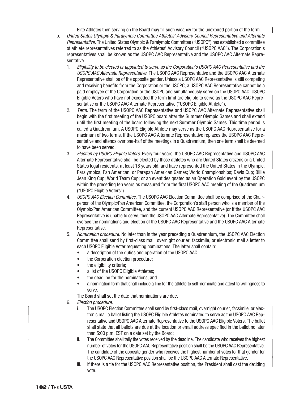Elite Athletes then serving on the Board may fill such vacancy for the unexpired portion of the term. b. United States Olympic & Paralympic Committee Athletes' Advisory Council Representative and Alternate Representative. The United States Olympic & Paralympic Committee ("USOPC") has established a committee of athlete representatives referred to as the Athletes' Advisory Council ("USOPC AAC"). The Corporation's representatives shall be known as the USOPC AAC Representative and the USOPC AAC Alternate Representative.

- 1. Eligibility to be elected or appointed to serve as the Corporation's USOPC AAC Representative and the USOPC AAC Alternate Representative. The USOPC AAC Representative and the USOPC AAC Alternate Representative shall be of the opposite gender. Unless a USOPC AAC Representative is still competing and receiving benefits from the Corporation or the USOPC, a USOPC AAC Representative cannot be a paid employee of the Corporation or the USOPC and simultaneously serve on the USOPC AAC. USOPC Eligible Voters who have not exceeded the term limit are eligible to serve as the USOPC AAC Representative or the USOPC AAC Alternate Representative ("USOPC Eligible Athlete").
- 2. Term. The term of the USOPC AAC Representative and USOPC AAC Alternate Representative shall begin with the first meeting of the USOPC board after the Summer Olympic Games and shall extend until the first meeting of the board following the next Summer Olympic Games. This time period is called a Quadrennium. A USOPC Eligible Athlete may serve as the USOPC AAC Representative for a maximum of two terms. If the USOPC AAC Alternate Representative replaces the USOPC AAC Representative and attends over one-half of the meetings in a Quadrennium, then one term shall be deemed to have been served.
- 3. Election by USOPC Eligible Voters. Every four years, the USOPC AAC Representative and USOPC AAC Alternate Representative shall be elected by those athletes who are United States citizens or a United States legal residents, at least 18 years old, and have represented the United States in the Olympic, Paralympics, Pan American, or Parapan American Games; World Championships; Davis Cup; Billie Jean King Cup; World Team Cup; or an event designated as an Operation Gold event by the USOPC within the preceding ten years as measured from the first USOPC AAC meeting of the Quadrennium ("USOPC Eligible Voters").
- 4. USOPC AAC Election Committee. The USOPC AAC Election Committee shall be comprised of the Chairperson of the Olympic/Pan American Committee, the Corporation's staff person who is a member of the Olympic/Pan American Committee, and the current USOPC AAC Representative (or if the USOPC AAC Representative is unable to serve, then the USOPC AAC Alternate Representative). The Committee shall oversee the nominations and election of the USOPC AAC Representative and the USOPC AAC Alternate Representative.
- 5. Nomination procedure. No later than in the year preceding a Quadrennium, the USOPC AAC Election Committee shall send by first-class mail, overnight courier, facsimile, or electronic mail a letter to each USOPC Eligible Voter requesting nominations. The letter shall contain:
	- a description of the duties and operation of the USOPC AAC;
	- the Corporation election procedure;
	- the eligibility criteria;
	- a list of the USOPC Eligible Athletes;
	- the deadline for the nominations; and
	- a nomination form that shall include a line for the athlete to self-nominate and attest to willingness to serve.

The Board shall set the date that nominations are due.

- 6. Election procedure.
	- i. The USOPC Election Committee shall send by first-class mail, overnight courier, facsimile, or electronic mail a ballot listing the USOPC Eligible Athletes nominated to serve as the USOPC AAC Representative and USOPC AAC Alternate Representative to the USOPC AAC Eligible Voters. The ballot shall state that all ballots are due at the location or email address specified in the ballot no later than 5:00 p.m. EST on a date set by the Board;
	- ii. The Committee shall tally the votes received by the deadline. The candidate who receives the highest number of votes for the USOPC AAC Representative position shall be the USOPC AAC Representative. The candidate of the opposite gender who receives the highest number of votes for that gender for the USOPC AAC Representative position shall be the USOPC AAC Alternate Representative.
	- iii. If there is a tie for the USOPC AAC Representative position, the President shall cast the deciding vote.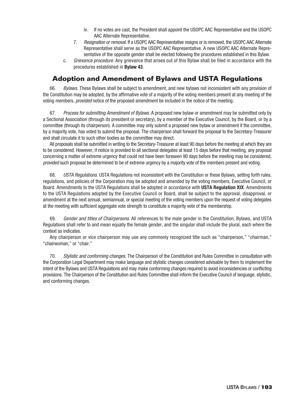- iv. If no votes are cast, the President shall appoint the USOPC AAC Representative and the USOPC AAC Alternate Representative.
- 7. Resignation or removal. If a USOPC AAC Representative resigns or is removed, the USOPC AAC Alternate Representative shall serve as the USOPC AAC Representative. A new USOPC AAC Alternate Representative of the opposite gender shall be elected following the procedures established in this Bylaw.
- c. Grievance procedure. Any grievance that arises out of this Bylaw shall be filed in accordance with the procedures established in **Bylaw 43**.

### **Adoption and Amendment of Bylaws and USTA Regulations**

66. Bylaws. These Bylaws shall be subject to amendment, and new bylaws not inconsistent with any provision of the Constitution may be adopted, by the affirmative vote of a majority of the voting members present at any meeting of the voting members, *provided* notice of the proposed amendment be included in the notice of the meeting.

67. Process for submitting Amendment of Bylaws. A proposed new bylaw or amendment may be submitted only by a Sectional Association (through its president or secretary), by a member of the Executive Council, by the Board, or by a committee (through its chairperson). A committee may only submit a proposed new bylaw or amendment if the committee, by a majority vote, has voted to submit the proposal. The chairperson shall forward the proposal to the Secretary-Treasurer and shall circulate it to such other bodies as the committee may direct.

All proposals shall be submitted in writing to the Secretary-Treasurer at least 90 days before the meeting at which they are to be considered. However, if notice is provided to all sectional delegates at least 15 days before that meeting, any proposal concerning a matter of extreme urgency that could not have been foreseen 90 days before the meeting may be considered, provided such proposal be determined to be of extreme urgency by a majority vote of the members present and voting.

68. USTA Regulations. USTA Regulations not inconsistent with the Constitution or these Bylaws, setting forth rules, regulations, and policies of the Corporation may be adopted and amended by the voting members, Executive Council, or Board. Amendments to the USTA Regulations shall be adopted in accordance with **USTA Regulation XIX**. Amendments to the USTA Regulations adopted by the Executive Council or Board, shall be subject to the approval, disapproval, or amendment at the next annual, semiannual, or special meeting of the voting members upon the request of voting delegates at the meeting with sufficient aggregate vote strength to constitute a majority vote of the membership.

69. Gender and titles of Chairpersons. All references to the male gender in the Constitution, Bylaws, and USTA Regulations shall refer to and mean equally the female gender, and the singular shall include the plural, each where the context so indicates.

Any chairperson or vice chairperson may use any commonly recognized title such as "chairperson," "chairman," "chairwoman," or "chair."

70. Stylistic and conforming changes. The Chairperson of the Constitution and Rules Committee in consultation with the Corporation Legal Department may make language and stylistic changes considered advisable by them to implement the intent of the Bylaws and USTA Regulations and may make conforming changes required to avoid inconsistencies or conflicting provisions. The Chairperson of the Constitution and Rules Committee shall inform the Executive Council of language, stylistic, and conforming changes.